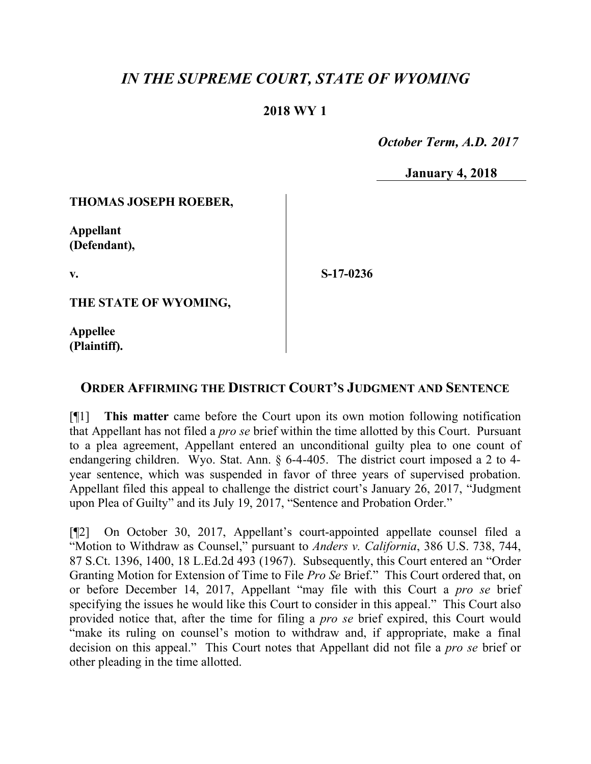# *IN THE SUPREME COURT, STATE OF WYOMING*

## **2018 WY 1**

 *October Term, A.D. 2017*

**January 4, 2018**

#### **THOMAS JOSEPH ROEBER,**

**Appellant (Defendant),**

**v.**

**S-17-0236**

**THE STATE OF WYOMING,**

**Appellee (Plaintiff).**

### **ORDER AFFIRMING THE DISTRICT COURT'S JUDGMENT AND SENTENCE**

[¶1] **This matter** came before the Court upon its own motion following notification that Appellant has not filed a *pro se* brief within the time allotted by this Court. Pursuant to a plea agreement, Appellant entered an unconditional guilty plea to one count of endangering children. Wyo. Stat. Ann. § 6-4-405. The district court imposed a 2 to 4 year sentence, which was suspended in favor of three years of supervised probation. Appellant filed this appeal to challenge the district court's January 26, 2017, "Judgment upon Plea of Guilty" and its July 19, 2017, "Sentence and Probation Order."

[¶2] On October 30, 2017, Appellant's court-appointed appellate counsel filed a "Motion to Withdraw as Counsel," pursuant to *Anders v. California*, 386 U.S. 738, 744, 87 S.Ct. 1396, 1400, 18 L.Ed.2d 493 (1967). Subsequently, this Court entered an "Order Granting Motion for Extension of Time to File *Pro Se* Brief." This Court ordered that, on or before December 14, 2017, Appellant "may file with this Court a *pro se* brief specifying the issues he would like this Court to consider in this appeal." This Court also provided notice that, after the time for filing a *pro se* brief expired, this Court would "make its ruling on counsel's motion to withdraw and, if appropriate, make a final decision on this appeal." This Court notes that Appellant did not file a *pro se* brief or other pleading in the time allotted.